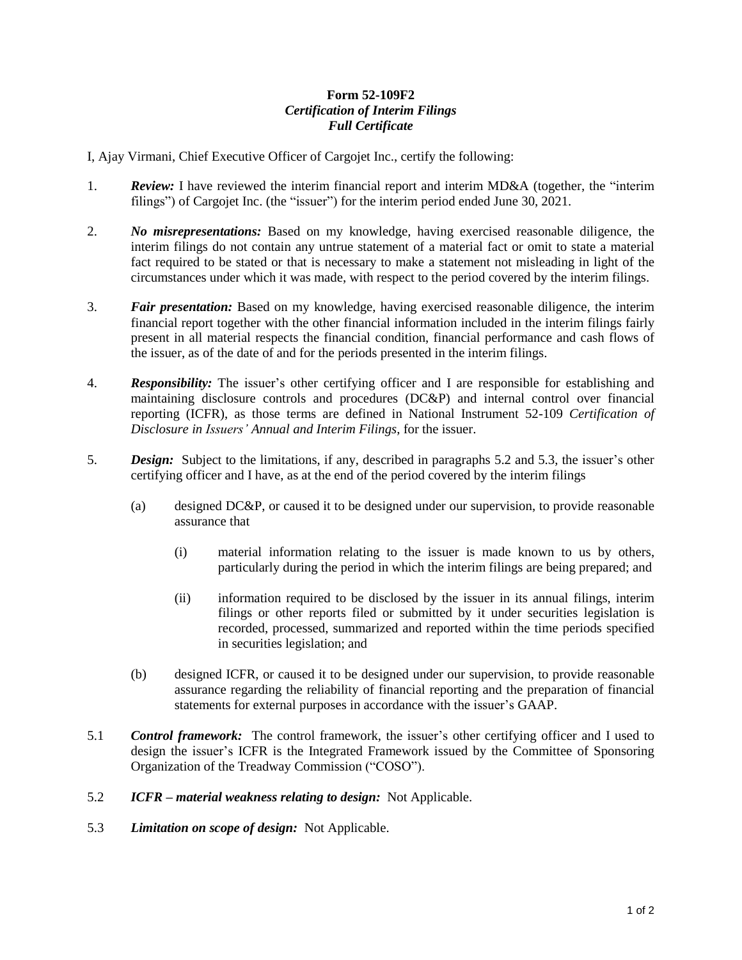## **Form 52-109F2** *Certification of Interim Filings Full Certificate*

I, Ajay Virmani, Chief Executive Officer of Cargojet Inc., certify the following:

- 1. *Review:* I have reviewed the interim financial report and interim MD&A (together, the "interim filings") of Cargojet Inc. (the "issuer") for the interim period ended June 30, 2021.
- 2. *No misrepresentations:* Based on my knowledge, having exercised reasonable diligence, the interim filings do not contain any untrue statement of a material fact or omit to state a material fact required to be stated or that is necessary to make a statement not misleading in light of the circumstances under which it was made, with respect to the period covered by the interim filings.
- 3. *Fair presentation:* Based on my knowledge, having exercised reasonable diligence, the interim financial report together with the other financial information included in the interim filings fairly present in all material respects the financial condition, financial performance and cash flows of the issuer, as of the date of and for the periods presented in the interim filings.
- 4. *Responsibility:* The issuer's other certifying officer and I are responsible for establishing and maintaining disclosure controls and procedures (DC&P) and internal control over financial reporting (ICFR), as those terms are defined in National Instrument 52-109 *Certification of Disclosure in Issuers' Annual and Interim Filings*, for the issuer.
- 5. *Design:* Subject to the limitations, if any, described in paragraphs 5.2 and 5.3, the issuer's other certifying officer and I have, as at the end of the period covered by the interim filings
	- (a) designed DC&P, or caused it to be designed under our supervision, to provide reasonable assurance that
		- (i) material information relating to the issuer is made known to us by others, particularly during the period in which the interim filings are being prepared; and
		- (ii) information required to be disclosed by the issuer in its annual filings, interim filings or other reports filed or submitted by it under securities legislation is recorded, processed, summarized and reported within the time periods specified in securities legislation; and
	- (b) designed ICFR, or caused it to be designed under our supervision, to provide reasonable assurance regarding the reliability of financial reporting and the preparation of financial statements for external purposes in accordance with the issuer's GAAP.
- 5.1 *Control framework:* The control framework, the issuer's other certifying officer and I used to design the issuer's ICFR is the Integrated Framework issued by the Committee of Sponsoring Organization of the Treadway Commission ("COSO").
- 5.2 *ICFR – material weakness relating to design:* Not Applicable.
- 5.3 *Limitation on scope of design:* Not Applicable.